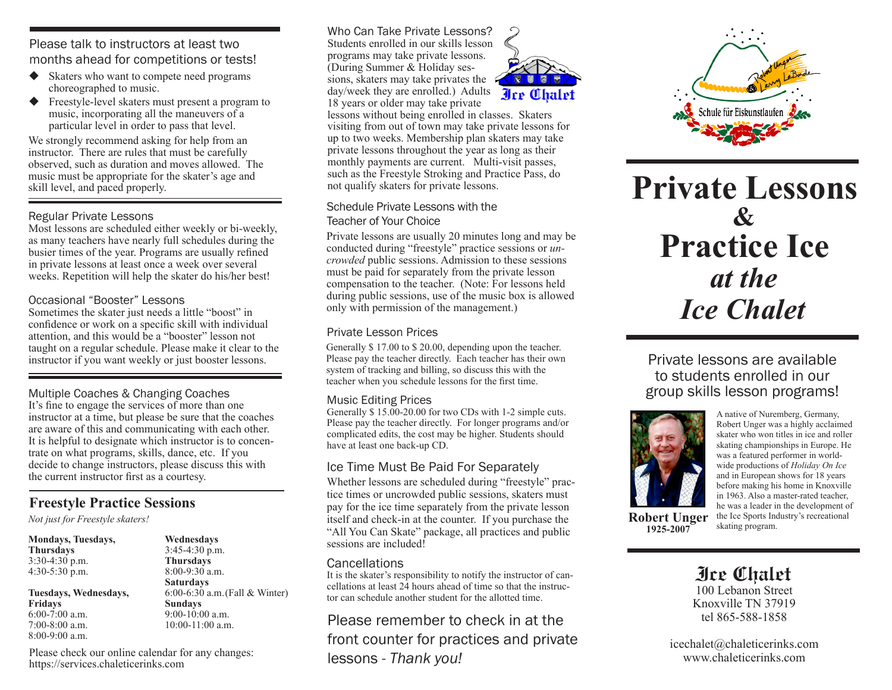Please talk to instructors at least two months ahead for competitions or tests!

- ◆ Skaters who want to compete need programs choreographed to music.
- ◆ Freestyle-level skaters must present a program to music, incorporating all the maneuvers of a particular level in order to pass that level.

We strongly recommend asking for help from an instructor. There are rules that must be carefully observed, such as duration and moves allowed. The music must be appropriate for the skater's age and skill level, and paced properly.

#### Regular Private Lessons

Most lessons are scheduled either weekly or bi-weekly, as many teachers have nearly full schedules during the busier times of the year. Programs are usually refined in private lessons at least once a week over several weeks. Repetition will help the skater do his/her best!

#### Occasional "Booster" Lessons

Sometimes the skater just needs a little "boost" in confidence or work on a specific skill with individual attention, and this would be a "booster" lesson not taught on a regular schedule. Please make it clear to the instructor if you want weekly or just booster lessons.

Multiple Coaches & Changing Coaches It's fine to engage the services of more than one instructor at a time, but please be sure that the coaches are aware of this and communicating with each other. It is helpful to designate which instructor is to concentrate on what programs, skills, dance, etc. If you decide to change instructors, please discuss this with the current instructor first as a courtesy.

# **Freestyle Practice Sessions**

*Not just for Freestyle skaters!* 

| <b>Mondays, Tuesdays,</b>            |  |
|--------------------------------------|--|
| <b>Thursdays</b><br>$3:30-4:30$ p.m. |  |
|                                      |  |
|                                      |  |
| Tuesdays, Wednesdays,                |  |

**Fridays** 6:00-7:00 a.m. 7:00-8:00 a.m. 8:00-9:00 a.m.

**Wednesdays** 3:45-4:30 p.m. **Thursdays** 8:00-9:30 a.m. **Saturdays** 6:00-6:30 a.m.(Fall & Winter) **Sundays** 9:00-10:00 a.m. 10:00-11:00 a.m.

Please check our online calendar for any changes: https://services.chaleticerinks.com

Who Can Take Private Lessons? Students enrolled in our skills lesson programs may take private lessons. (During Summer & Holiday sessions, skaters may take privates the day/week they are enrolled.) Adults 18 years or older may take private



lessons without being enrolled in classes. Skaters visiting from out of town may take private lessons for up to two weeks. Membership plan skaters may take private lessons throughout the year as long as their monthly payments are current. Multi-visit passes, such as the Freestyle Stroking and Practice Pass, do not qualify skaters for private lessons.

#### Schedule Private Lessons with the Teacher of Your Choice

Private lessons are usually 20 minutes long and may be conducted during "freestyle" practice sessions or *uncrowded* public sessions. Admission to these sessions must be paid for separately from the private lesson compensation to the teacher. (Note: For lessons held during public sessions, use of the music box is allowed only with permission of the management.)

## Private Lesson Prices

Generally \$ 17.00 to \$ 20.00, depending upon the teacher. Please pay the teacher directly. Each teacher has their own system of tracking and billing, so discuss this with the teacher when you schedule lessons for the first time.

## Music Editing Prices

Generally \$15.00-20.00 for two CDs with 1-2 simple cuts. Please pay the teacher directly. For longer programs and/or complicated edits, the cost may be higher. Students should have at least one back-up CD.

# Ice Time Must Be Paid For Separately

Whether lessons are scheduled during "freestyle" practice times or uncrowded public sessions, skaters must pay for the ice time separately from the private lesson itself and check-in at the counter. If you purchase the "All You Can Skate" package, all practices and public sessions are included!

## **Cancellations**

It is the skater's responsibility to notify the instructor of cancellations at least  $2\overline{4}$  hours ahead of time so that the instructor can schedule another student for the allotted time.

Please remember to check in at the front counter for practices and private lessons - *Thank you!*



# **Private Lessons** *at the* **Practice Ice &** *Ice Chalet*

Private lessons are available to students enrolled in our group skills lesson programs!



**1925-2007**

A native of Nuremberg, Germany, Robert Unger was a highly acclaimed skater who won titles in ice and roller skating championships in Europe. He was a featured performer in worldwide productions of *Holiday On Ice* and in European shows for 18 years before making his home in Knoxville in 1963. Also a master-rated teacher, he was a leader in the development of the Ice Sports Industry's recreational **Robert Unger** the Ice Sports Inc. 1025 2007

**Ice Chalet**

100 Lebanon Street Knoxville TN 37919 tel 865-588-1858

icechalet@chaleticerinks.com www.chaleticerinks.com